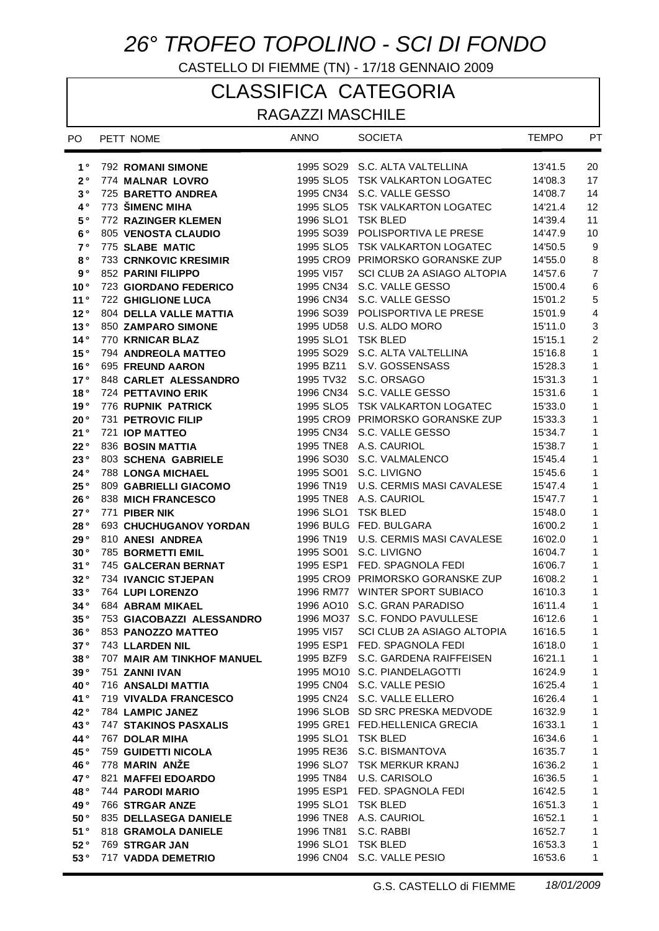## *26° TROFEO TOPOLINO - SCI DI FONDO*

CASTELLO DI FIEMME (TN) - 17/18 GENNAIO 2009

## CLASSIFICA CATEGORIA

RAGAZZI MASCHILE

| PO.                | PETT NOME                                           | <b>ANNO</b>           | <b>SOCIETA</b>                                                    | <b>TEMPO</b>       | PT             |
|--------------------|-----------------------------------------------------|-----------------------|-------------------------------------------------------------------|--------------------|----------------|
| $1^{\circ}$        | <b>792 ROMANI SIMONE</b>                            |                       | 1995 SO29 S.C. ALTA VALTELLINA                                    | 13'41.5            | 20             |
| $2^{\circ}$        | 774 MALNAR LOVRO                                    |                       | 1995 SLO5 TSK VALKARTON LOGATEC                                   | 14'08.3            | 17             |
| 3°                 | 725 BARETTO ANDREA                                  |                       | 1995 CN34 S.C. VALLE GESSO                                        | 14'08.7            | 14             |
| $4^{\circ}$        | 773 ŠIMENC MIHA                                     |                       | 1995 SLO5 TSK VALKARTON LOGATEC                                   | 14'21.4            | 12             |
| $5°$               | 772 RAZINGER KLEMEN                                 | 1996 SLO1             | <b>TSK BLED</b>                                                   | 14'39.4            | 11             |
| 6°                 | 805 VENOSTA CLAUDIO                                 |                       | 1995 SO39 POLISPORTIVA LE PRESE                                   | 14'47.9            | 10             |
| 7 <sup>°</sup>     | 775 SLABE MATIC                                     |                       | 1995 SLO5 TSK VALKARTON LOGATEC                                   | 14'50.5            | 9              |
| $8^{\circ}$        | <b>733 CRNKOVIC KRESIMIR</b>                        |                       | 1995 CRO9 PRIMORSKO GORANSKE ZUP                                  | 14'55.0            | $\bf 8$        |
| $\mathbf{9} \circ$ | <b>852 PARINI FILIPPO</b>                           | 1995 VI57             | SCI CLUB 2A ASIAGO ALTOPIA                                        | 14'57.6            | $\overline{7}$ |
| 10 <sup>°</sup>    | <b>723 GIORDANO FEDERICO</b>                        | 1995 CN34             | S.C. VALLE GESSO                                                  | 15'00.4            | $\,6\,$        |
| 11°                | <b>722 GHIGLIONE LUCA</b>                           | 1996 CN34             | S.C. VALLE GESSO                                                  | 15'01.2            | $\sqrt{5}$     |
| 12°                | <b>804 DELLA VALLE MATTIA</b>                       |                       | 1996 SO39 POLISPORTIVA LE PRESE                                   | 15'01.9            | $\overline{4}$ |
| 13°                | <b>850 ZAMPARO SIMONE</b>                           | 1995 UD58             | U.S. ALDO MORO                                                    | 15'11.0            | 3              |
| 14°                | 770 KRNICAR BLAZ                                    | 1995 SLO1             | <b>TSK BLED</b>                                                   | 15'15.1            | $\overline{c}$ |
| 15°                | 794 ANDREOLA MATTEO                                 | 1995 SO <sub>29</sub> | S.C. ALTA VALTELLINA                                              | 15'16.8            | $\mathbf{1}$   |
| 16°                | 695 FREUND AARON                                    | 1995 BZ11             | S.V. GOSSENSASS                                                   | 15'28.3            | 1              |
| 17°                | 848 CARLET ALESSANDRO                               | 1995 TV32             | S.C. ORSAGO                                                       | 15'31.3            | 1              |
| 18°                | <b>724 PETTAVINO ERIK</b>                           |                       | 1996 CN34 S.C. VALLE GESSO                                        | 15'31.6            | 1              |
| 19°                | 776 RUPNIK PATRICK                                  |                       | 1995 SLO5 TSK VALKARTON LOGATEC                                   | 15'33.0            | 1              |
| 20°                | 731 PETROVIC FILIP                                  |                       | 1995 CRO9 PRIMORSKO GORANSKE ZUP                                  | 15'33.3            | 1              |
| 21°                | 721 IOP MATTEO                                      |                       | 1995 CN34 S.C. VALLE GESSO                                        | 15'34.7            | 1              |
| 22°                | 836 BOSIN MATTIA                                    |                       | 1995 TNE8 A.S. CAURIOL                                            | 15'38.7            | 1              |
| 23°                | 803 SCHENA GABRIELE                                 | 1996 SO30             | S.C. VALMALENCO                                                   | 15'45.4            | 1              |
| 24°                | <b>788 LONGA MICHAEL</b>                            | 1995 SO01             | S.C. LIVIGNO                                                      | 15'45.6            | 1              |
| 25°                | 809 GABRIELLI GIACOMO                               | 1996 TN19             | U.S. CERMIS MASI CAVALESE                                         | 15'47.4            | 1              |
| 26°                | 838 MICH FRANCESCO                                  |                       | 1995 TNE8 A.S. CAURIOL                                            | 15'47.7            | 1              |
| 27°                | 771 PIBER NIK                                       | 1996 SLO1             | <b>TSK BLED</b>                                                   | 15'48.0            | 1              |
| 28°                | 693 CHUCHUGANOV YORDAN                              |                       | 1996 BULG FED. BULGARA                                            | 16'00.2            | 1              |
| 29°                | 810 ANESI ANDREA                                    | 1996 TN19             | U.S. CERMIS MASI CAVALESE                                         | 16'02.0            | 1              |
| 30°                | 785 BORMETTI EMIL                                   | 1995 SO01             | S.C. LIVIGNO                                                      | 16'04.7            | 1              |
| 31°                | 745 GALCERAN BERNAT                                 |                       | 1995 ESP1 FED. SPAGNOLA FEDI                                      | 16'06.7            | 1              |
| 32°                | 734 IVANCIC STJEPAN                                 |                       | 1995 CRO9 PRIMORSKO GORANSKE ZUP                                  | 16'08.2            | 1              |
| 33°                | 764 LUPI LORENZO                                    |                       | 1996 RM77 WINTER SPORT SUBIACO                                    | 16'10.3            | 1              |
| 34°                | 684 ABRAM MIKAEL                                    |                       | 1996 AO10 S.C. GRAN PARADISO                                      | 16'11.4            | $\mathbf{1}$   |
| 35°                | 753 GIACOBAZZI ALESSANDRO                           |                       | 1996 MO37 S.C. FONDO PAVULLESE                                    | 16'12.6            | $\mathbf{1}$   |
| 36 °               | 853 PANOZZO MATTEO                                  | 1995 VI57             | SCI CLUB 2A ASIAGO ALTOPIA                                        | 16'16.5            | 1.             |
| 37°                | <b>743 LLARDEN NIL</b>                              |                       | 1995 ESP1 FED. SPAGNOLA FEDI                                      | 16'18.0            | 1.             |
| 38°                | <b>707 MAIR AM TINKHOF MANUEL</b>                   |                       | 1995 BZF9 S.C. GARDENA RAIFFEISEN                                 | 16'21.1            | 1              |
| 39°                | 751 ZANNI IVAN                                      |                       | 1995 MO10 S.C. PIANDELAGOTTI                                      | 16'24.9            | 1              |
| 40°                | 716 ANSALDI MATTIA                                  |                       | 1995 CN04 S.C. VALLE PESIO                                        | 16'25.4            | 1              |
| 41°                | <b>719 VIVALDA FRANCESCO</b>                        |                       | 1995 CN24 S.C. VALLE ELLERO                                       | 16'26.4            | 1              |
| 42°                | 784 LAMPIC JANEZ<br><b>747 STAKINOS PASXALIS</b>    |                       | 1996 SLOB SD SRC PRESKA MEDVODE<br>1995 GRE1 FED.HELLENICA GRECIA | 16'32.9            | 1<br>1         |
| 43°                |                                                     | 1995 SLO1 TSK BLED    |                                                                   | 16'33.1            | 1              |
| 44°<br>45°         | <b>767 DOLAR MIHA</b><br><b>759 GUIDETTI NICOLA</b> |                       | 1995 RE36 S.C. BISMANTOVA                                         | 16'34.6<br>16'35.7 | 1              |
| 46°                | 778 MARIN ANZE                                      |                       | 1996 SLO7 TSK MERKUR KRANJ                                        | 16'36.2            | 1              |
| 47°                | <b>821 MAFFEI EDOARDO</b>                           |                       | 1995 TN84 U.S. CARISOLO                                           | 16'36.5            | 1              |
| 48°                | 744 PARODI MARIO                                    |                       | 1995 ESP1 FED. SPAGNOLA FEDI                                      | 16'42.5            | 1              |
| 49°                | 766 STRGAR ANZE                                     | 1995 SLO1 TSK BLED    |                                                                   | 16'51.3            | 1              |
| $50^{\circ}$       | 835 DELLASEGA DANIELE                               |                       | 1996 TNE8 A.S. CAURIOL                                            | 16'52.1            | 1              |
| 51°                | 818 GRAMOLA DANIELE                                 |                       | 1996 TN81 S.C. RABBI                                              | 16'52.7            | 1              |
| 52°                | 769 STRGAR JAN                                      |                       | 1996 SLO1 TSK BLED                                                | 16'53.3            | $\mathbf{1}$   |
| 53°                | <b>717 VADDA DEMETRIO</b>                           |                       | 1996 CN04 S.C. VALLE PESIO                                        | 16'53.6            | 1              |
|                    |                                                     |                       |                                                                   |                    |                |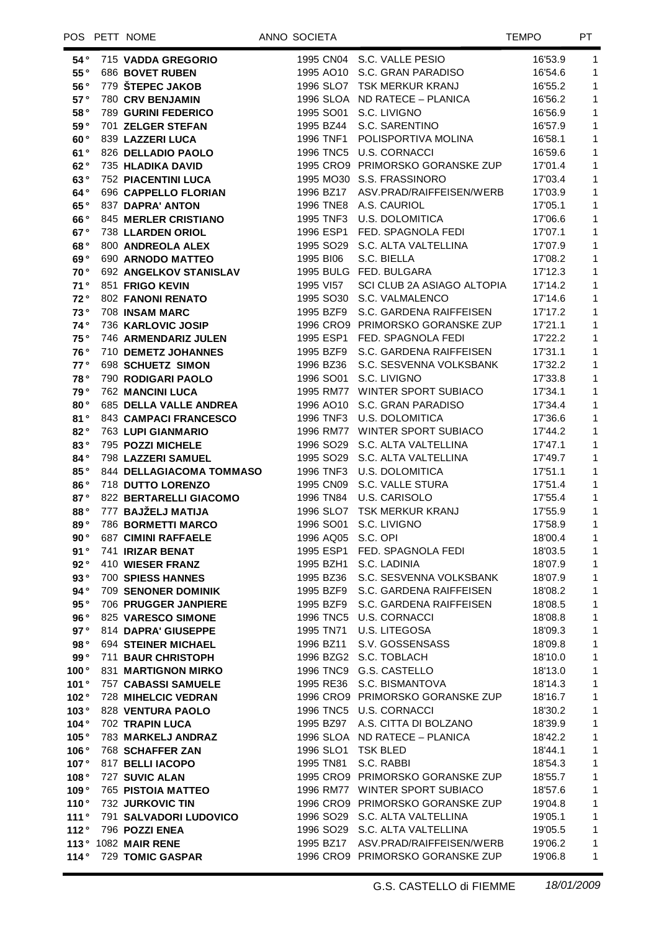## POS PETT NOME ANNO SOCIETA AND SOCIETA

| 54°           | 715 VADDA GREGORIO              |                    | 1995 CN04 S.C. VALLE PESIO         | 16'53.9 | $\mathbf{1}$   |
|---------------|---------------------------------|--------------------|------------------------------------|---------|----------------|
| 55°           | 686 BOVET RUBEN                 |                    | 1995 AO10 S.C. GRAN PARADISO       | 16'54.6 | $\mathbf{1}$   |
| 56°           | 779 ŠTEPEC JAKOB                |                    | 1996 SLO7 TSK MERKUR KRANJ         | 16'55.2 | $\mathbf{1}$   |
| 57°           | 780 CRV BENJAMIN                |                    | 1996 SLOA ND RATECE - PLANICA      | 16'56.2 | $\mathbf{1}$   |
| 58°           | <b>789 GURINI FEDERICO</b>      |                    | 1995 SO01 S.C. LIVIGNO             | 16'56.9 | $\mathbf{1}$   |
| 59°           | 701 ZELGER STEFAN               |                    | 1995 BZ44 S.C. SARENTINO           | 16'57.9 | $\mathbf{1}$   |
| 60°           | 839 LAZZERI LUCA                |                    | 1996 TNF1 POLISPORTIVA MOLINA      | 16'58.1 | $\mathbf{1}$   |
| 61°           | 826 DELLADIO PAOLO              |                    | 1996 TNC5 U.S. CORNACCI            | 16'59.6 | $\mathbf{1}$   |
| 62°           | 735 HLADIKA DAVID               |                    | 1995 CRO9 PRIMORSKO GORANSKE ZUP   | 17'01.4 | $\mathbf{1}$   |
| 63°           | <b>752 PIACENTINI LUCA</b>      |                    | 1995 MO30 S.S. FRASSINORO          | 17'03.4 | $\mathbf{1}$   |
| 64°           | 696 CAPPELLO FLORIAN            |                    | 1996 BZ17 ASV.PRAD/RAIFFEISEN/WERB | 17'03.9 | $\mathbf{1}$   |
| 65°           | 837 DAPRA' ANTON                |                    | 1996 TNE8 A.S. CAURIOL             | 17'05.1 | $\mathbf{1}$   |
| 66°           | <b>845 MERLER CRISTIANO</b>     |                    | 1995 TNF3 U.S. DOLOMITICA          | 17'06.6 | $\mathbf{1}$   |
| 67°           | 738 LLARDEN ORIOL               |                    | 1996 ESP1 FED. SPAGNOLA FEDI       | 17'07.1 | $\mathbf{1}$   |
| 68°           | 800 ANDREOLA ALEX               |                    | 1995 SO29 S.C. ALTA VALTELLINA     | 17'07.9 | $\mathbf{1}$   |
| 69°           | 690 ARNODO MATTEO               | 1995 BI06          | S.C. BIELLA                        | 17'08.2 | $\mathbf{1}$   |
| 70°           | 692 ANGELKOV STANISLAV          |                    | 1995 BULG FED. BULGARA             | 17'12.3 | $\mathbf{1}$   |
| 71°           | 851 FRIGO KEVIN                 | 1995 VI57          | SCI CLUB 2A ASIAGO ALTOPIA         | 17'14.2 | $\mathbf{1}$   |
| 72°           | <b>802 FANONI RENATO</b>        |                    | 1995 SO30 S.C. VALMALENCO          |         | $\mathbf{1}$   |
| 73°           |                                 |                    |                                    | 17'14.6 |                |
|               | 708 INSAM MARC                  |                    | 1995 BZF9 S.C. GARDENA RAIFFEISEN  | 17'17.2 | $\mathbf{1}$   |
| 74°           | 736 KARLOVIC JOSIP              |                    | 1996 CRO9 PRIMORSKO GORANSKE ZUP   | 17'21.1 | $\mathbf{1}$   |
| 75°           | 746 ARMENDARIZ JULEN            |                    | 1995 ESP1 FED. SPAGNOLA FEDI       | 17'22.2 | $\mathbf{1}$   |
| 76°           | 710 DEMETZ JOHANNES             |                    | 1995 BZF9 S.C. GARDENA RAIFFEISEN  | 17'31.1 | $\mathbf{1}$   |
| 77°           | 698 SCHUETZ SIMON               |                    | 1996 BZ36 S.C. SESVENNA VOLKSBANK  | 17'32.2 | $\mathbf{1}$   |
| 78°           | 790 RODIGARI PAOLO              |                    | 1996 SO01 S.C. LIVIGNO             | 17'33.8 | $\mathbf{1}$   |
| 79°           | <b>762 MANCINI LUCA</b>         |                    | 1995 RM77 WINTER SPORT SUBIACO     | 17'34.1 | $\mathbf{1}$   |
| 80°           | 685 DELLA VALLE ANDREA          |                    | 1996 AO10 S.C. GRAN PARADISO       | 17'34.4 | $\mathbf{1}$   |
| 81°           | 843 CAMPACI FRANCESCO           |                    | 1996 TNF3 U.S. DOLOMITICA          | 17'36.6 | $\mathbf{1}$   |
| 82°           | <b>763 LUPI GIANMARIO</b>       |                    | 1996 RM77 WINTER SPORT SUBIACO     | 17'44.2 | $\mathbf{1}$   |
| 83°           | 795 POZZI MICHELE               |                    | 1996 SO29 S.C. ALTA VALTELLINA     | 17'47.1 | $\mathbf{1}$   |
| 84°           | 798 LAZZERI SAMUEL              |                    | 1995 SO29 S.C. ALTA VALTELLINA     | 17'49.7 | $\mathbf{1}$   |
| 85°           | <b>844 DELLAGIACOMA TOMMASO</b> |                    | 1996 TNF3 U.S. DOLOMITICA          | 17'51.1 | $\mathbf{1}$   |
| 86°           | 718 DUTTO LORENZO               |                    | 1995 CN09 S.C. VALLE STURA         | 17'51.4 | $\mathbf{1}$   |
| 87°           | 822 BERTARELLI GIACOMO          |                    | 1996 TN84 U.S. CARISOLO            | 17'55.4 | $\mathbf{1}$   |
| 88°           | 777 BAJŽELJ MATIJA              |                    | 1996 SLO7 TSK MERKUR KRANJ         | 17'55.9 | $\mathbf{1}$   |
| 89°           | <b>786 BORMETTI MARCO</b>       |                    | 1996 SO01 S.C. LIVIGNO             | 17'58.9 | $\mathbf{1}$   |
| 90°           | <b>687 CIMINI RAFFAELE</b>      | 1996 AQ05 S.C. OPI |                                    | 18'00.4 | $\mathbf{1}$   |
|               | 91° 741 IRIZAR BENAT            |                    | 1995 ESP1 FED. SPAGNOLA FEDI       | 18'03.5 | $\overline{1}$ |
| 92°           | 410 WIESER FRANZ                |                    | 1995 BZH1 S.C. LADINIA             | 18'07.9 | 1              |
| 93°           | <b>700 SPIESS HANNES</b>        |                    | 1995 BZ36 S.C. SESVENNA VOLKSBANK  | 18'07.9 | 1              |
| 94°           | <b>709 SENONER DOMINIK</b>      |                    | 1995 BZF9 S.C. GARDENA RAIFFEISEN  | 18'08.2 | 1              |
| 95°           | 706 PRUGGER JANPIERE            |                    | 1995 BZF9 S.C. GARDENA RAIFFEISEN  | 18'08.5 | 1              |
| 96 $^{\circ}$ | 825 VARESCO SIMONE              |                    | 1996 TNC5 U.S. CORNACCI            | 18'08.8 | 1              |
| 97°           | 814 DAPRA' GIUSEPPE             |                    | 1995 TN71 U.S. LITEGOSA            | 18'09.3 | 1              |
| 98°           | <b>694 STEINER MICHAEL</b>      |                    | 1996 BZ11 S.V. GOSSENSASS          | 18'09.8 | 1              |
| 99°           | 711 BAUR CHRISTOPH              |                    | 1996 BZG2 S.C. TOBLACH             | 18'10.0 | 1              |
| 100°          | <b>831 MARTIGNON MIRKO</b>      |                    | 1996 TNC9 G.S. CASTELLO            | 18'13.0 | 1              |
| 101°          | <b>757 CABASSI SAMUELE</b>      |                    | 1995 RE36 S.C. BISMANTOVA          | 18'14.3 | 1              |
| 102°          | <b>728 MIHELCIC VEDRAN</b>      |                    | 1996 CRO9 PRIMORSKO GORANSKE ZUP   | 18'16.7 | 1              |
| 103°          | 828 VENTURA PAOLO               |                    | 1996 TNC5 U.S. CORNACCI            | 18'30.2 | 1              |
| 104°          | 702 TRAPIN LUCA                 |                    | 1995 BZ97 A.S. CITTA DI BOLZANO    | 18'39.9 | $\mathbf{1}$   |
| 105°          | 783 MARKELJ ANDRAZ              |                    | 1996 SLOA ND RATECE - PLANICA      | 18'42.2 | 1              |
| 106°          | 768 SCHAFFER ZAN                | 1996 SLO1 TSK BLED |                                    | 18'44.1 | 1              |
| 107°          | 817 BELLI IACOPO                | 1995 TN81          | S.C. RABBI                         | 18'54.3 | 1              |
| 108°          | 727 SUVIC ALAN                  |                    | 1995 CRO9 PRIMORSKO GORANSKE ZUP   | 18'55.7 | 1              |
| 109°          | 765 PISTOIA MATTEO              |                    | 1996 RM77 WINTER SPORT SUBIACO     | 18'57.6 | 1              |
| 110°          | 732 JURKOVIC TIN                |                    | 1996 CRO9 PRIMORSKO GORANSKE ZUP   | 19'04.8 | 1              |
| 111°          | 791 SALVADORI LUDOVICO          |                    | 1996 SO29 S.C. ALTA VALTELLINA     | 19'05.1 | 1              |
| 112°          | 796 POZZI ENEA                  |                    | 1996 SO29 S.C. ALTA VALTELLINA     | 19'05.5 | 1              |
|               | 113° 1082 MAIR RENE             |                    | 1995 BZ17 ASV.PRAD/RAIFFEISEN/WERB | 19'06.2 | 1              |
| 114°          | <b>729 TOMIC GASPAR</b>         |                    | 1996 CRO9 PRIMORSKO GORANSKE ZUP   | 19'06.8 | 1              |